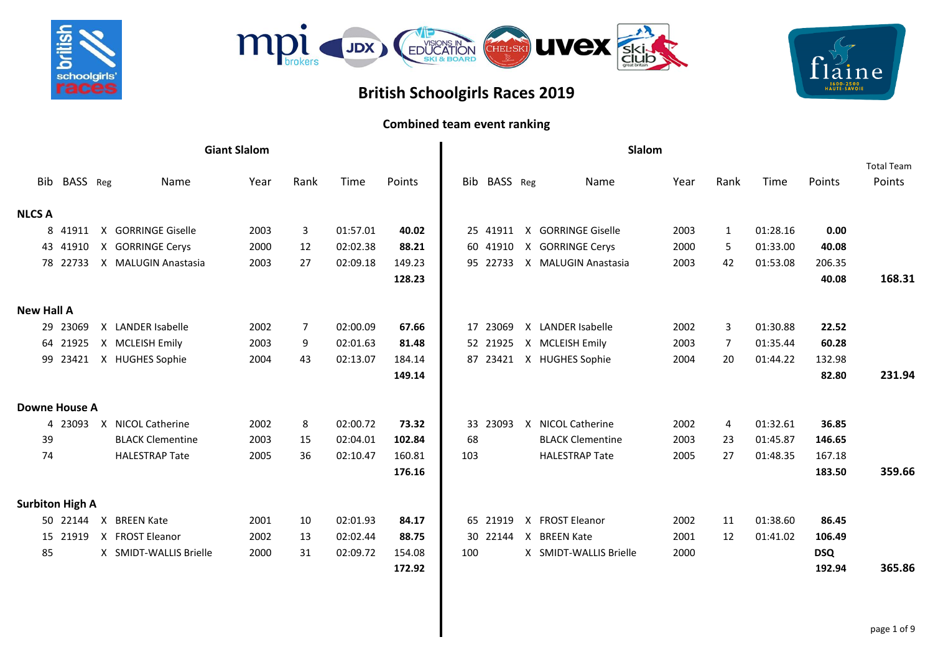



## **British Schoolgirls Races 2019**

## laine 1600-2500<br>HAUTE-SAVOII

## **Combined team event ranking**

|                        |          |              |                         | <b>Giant Slalom</b> |                |          |        |     |          | Slalom                  |      |                |          |            |                             |
|------------------------|----------|--------------|-------------------------|---------------------|----------------|----------|--------|-----|----------|-------------------------|------|----------------|----------|------------|-----------------------------|
| Bib                    | BASS Reg |              | Name                    | Year                | Rank           | Time     | Points | Bib | BASS Reg | Name                    | Year | Rank           | Time     | Points     | <b>Total Team</b><br>Points |
| <b>NLCS A</b>          |          |              |                         |                     |                |          |        |     |          |                         |      |                |          |            |                             |
|                        | 8 41911  | $\mathsf{X}$ | <b>GORRINGE Giselle</b> | 2003                | $\mathbf{3}$   | 01:57.01 | 40.02  |     | 25 41911 | X GORRINGE Giselle      | 2003 | $\mathbf{1}$   | 01:28.16 | 0.00       |                             |
|                        | 43 41910 |              | X GORRINGE Cerys        | 2000                | 12             | 02:02.38 | 88.21  |     | 60 41910 | X GORRINGE Cerys        | 2000 | 5              | 01:33.00 | 40.08      |                             |
|                        | 78 22733 |              | X MALUGIN Anastasia     | 2003                | 27             | 02:09.18 | 149.23 |     | 95 22733 | X MALUGIN Anastasia     | 2003 | 42             | 01:53.08 | 206.35     |                             |
|                        |          |              |                         |                     |                |          | 128.23 |     |          |                         |      |                |          | 40.08      | 168.31                      |
| <b>New Hall A</b>      |          |              |                         |                     |                |          |        |     |          |                         |      |                |          |            |                             |
|                        | 29 23069 |              | X LANDER Isabelle       | 2002                | $\overline{7}$ | 02:00.09 | 67.66  | 17  | 23069    | X LANDER Isabelle       | 2002 | 3              | 01:30.88 | 22.52      |                             |
|                        | 64 21925 |              | X MCLEISH Emily         | 2003                | 9              | 02:01.63 | 81.48  |     | 52 21925 | X MCLEISH Emily         | 2003 | $\overline{7}$ | 01:35.44 | 60.28      |                             |
|                        | 99 23421 |              | X HUGHES Sophie         | 2004                | 43             | 02:13.07 | 184.14 |     | 87 23421 | X HUGHES Sophie         | 2004 | 20             | 01:44.22 | 132.98     |                             |
|                        |          |              |                         |                     |                |          | 149.14 |     |          |                         |      |                |          | 82.80      | 231.94                      |
| <b>Downe House A</b>   |          |              |                         |                     |                |          |        |     |          |                         |      |                |          |            |                             |
|                        | 4 23093  |              | X NICOL Catherine       | 2002                | 8              | 02:00.72 | 73.32  |     | 33 23093 | X NICOL Catherine       | 2002 | 4              | 01:32.61 | 36.85      |                             |
| 39                     |          |              | <b>BLACK Clementine</b> | 2003                | 15             | 02:04.01 | 102.84 | 68  |          | <b>BLACK Clementine</b> | 2003 | 23             | 01:45.87 | 146.65     |                             |
| 74                     |          |              | <b>HALESTRAP Tate</b>   | 2005                | 36             | 02:10.47 | 160.81 | 103 |          | <b>HALESTRAP Tate</b>   | 2005 | 27             | 01:48.35 | 167.18     |                             |
|                        |          |              |                         |                     |                |          | 176.16 |     |          |                         |      |                |          | 183.50     | 359.66                      |
| <b>Surbiton High A</b> |          |              |                         |                     |                |          |        |     |          |                         |      |                |          |            |                             |
|                        | 50 22144 | $\mathsf{X}$ | <b>BREEN Kate</b>       | 2001                | 10             | 02:01.93 | 84.17  |     | 65 21919 | X FROST Eleanor         | 2002 | 11             | 01:38.60 | 86.45      |                             |
|                        | 15 21919 |              | X FROST Eleanor         | 2002                | 13             | 02:02.44 | 88.75  | 30  | 22144    | X BREEN Kate            | 2001 | 12             | 01:41.02 | 106.49     |                             |
| 85                     |          |              | X SMIDT-WALLIS Brielle  | 2000                | 31             | 02:09.72 | 154.08 | 100 |          | X SMIDT-WALLIS Brielle  | 2000 |                |          | <b>DSQ</b> |                             |
|                        |          |              |                         |                     |                |          | 172.92 |     |          |                         |      |                |          | 192.94     | 365.86                      |
|                        |          |              |                         |                     |                |          |        |     |          |                         |      |                |          |            |                             |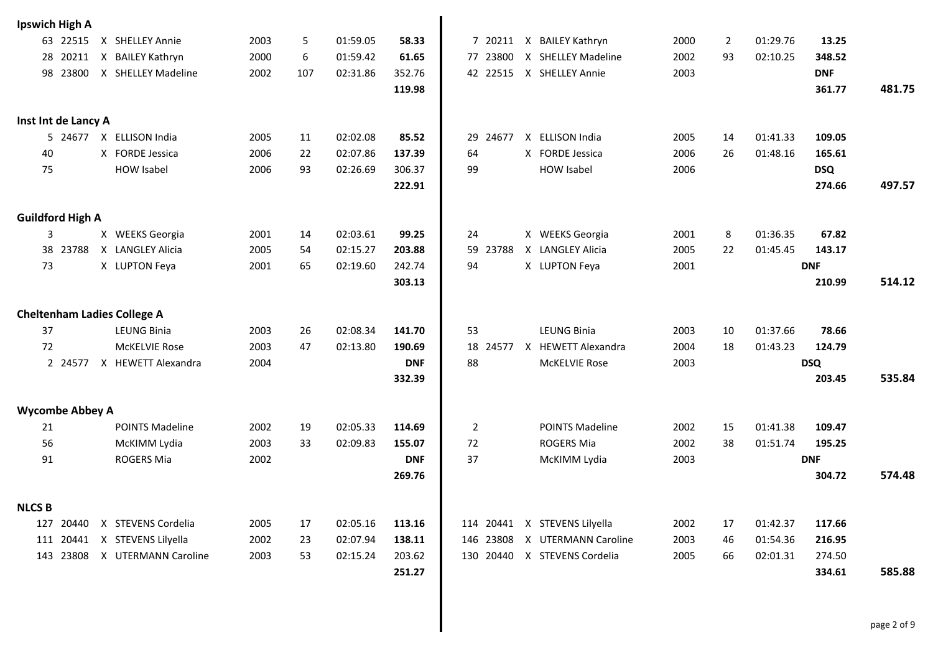| <b>Ipswich High A</b>   |          |                                    |      |     |          |            |                   |                               |      |                |          |            |        |
|-------------------------|----------|------------------------------------|------|-----|----------|------------|-------------------|-------------------------------|------|----------------|----------|------------|--------|
|                         | 63 22515 | X SHELLEY Annie                    | 2003 | 5   | 01:59.05 | 58.33      |                   | 7 20211 X BAILEY Kathryn      | 2000 | $\overline{2}$ | 01:29.76 | 13.25      |        |
| 28                      | 20211    | X BAILEY Kathryn                   | 2000 | 6   | 01:59.42 | 61.65      | 77 23800          | X SHELLEY Madeline            | 2002 | 93             | 02:10.25 | 348.52     |        |
|                         | 98 23800 | X SHELLEY Madeline                 | 2002 | 107 | 02:31.86 | 352.76     |                   | 42 22515 X SHELLEY Annie      | 2003 |                |          | <b>DNF</b> |        |
|                         |          |                                    |      |     |          | 119.98     |                   |                               |      |                |          | 361.77     | 481.75 |
|                         |          |                                    |      |     |          |            |                   |                               |      |                |          |            |        |
| Inst Int de Lancy A     |          |                                    |      |     |          |            |                   |                               |      |                |          |            |        |
|                         |          | 5 24677 X ELLISON India            | 2005 | 11  | 02:02.08 | 85.52      | 29<br>24677       | X ELLISON India               | 2005 | 14             | 01:41.33 | 109.05     |        |
| 40                      |          | X FORDE Jessica                    | 2006 | 22  | 02:07.86 | 137.39     | 64                | X FORDE Jessica               | 2006 | 26             | 01:48.16 | 165.61     |        |
| 75                      |          | <b>HOW Isabel</b>                  | 2006 | 93  | 02:26.69 | 306.37     | 99                | <b>HOW Isabel</b>             | 2006 |                |          | <b>DSQ</b> |        |
|                         |          |                                    |      |     |          | 222.91     |                   |                               |      |                |          | 274.66     | 497.57 |
|                         |          |                                    |      |     |          |            |                   |                               |      |                |          |            |        |
| <b>Guildford High A</b> |          |                                    |      |     |          |            |                   |                               |      |                |          |            |        |
| 3                       |          | X WEEKS Georgia                    | 2001 | 14  | 02:03.61 | 99.25      | 24                | X WEEKS Georgia               | 2001 | 8              | 01:36.35 | 67.82      |        |
|                         | 38 23788 | X LANGLEY Alicia                   | 2005 | 54  | 02:15.27 | 203.88     | 59<br>23788       | X LANGLEY Alicia              | 2005 | 22             | 01:45.45 | 143.17     |        |
| 73                      |          | X LUPTON Feya                      | 2001 | 65  | 02:19.60 | 242.74     | 94                | X LUPTON Feya                 | 2001 |                |          | <b>DNF</b> |        |
|                         |          |                                    |      |     |          | 303.13     |                   |                               |      |                |          | 210.99     | 514.12 |
|                         |          |                                    |      |     |          |            |                   |                               |      |                |          |            |        |
|                         |          | <b>Cheltenham Ladies College A</b> |      |     |          |            |                   |                               |      |                |          |            |        |
| 37                      |          | <b>LEUNG Binia</b>                 | 2003 | 26  | 02:08.34 | 141.70     | 53                | LEUNG Binia                   | 2003 | 10             | 01:37.66 | 78.66      |        |
| 72                      |          | <b>McKELVIE Rose</b>               | 2003 | 47  | 02:13.80 | 190.69     | 18<br>24577<br>88 | X HEWETT Alexandra            | 2004 | 18             | 01:43.23 | 124.79     |        |
|                         |          | 2 24577 X HEWETT Alexandra         | 2004 |     |          | <b>DNF</b> |                   | <b>McKELVIE Rose</b>          | 2003 |                |          | <b>DSQ</b> | 535.84 |
|                         |          |                                    |      |     |          | 332.39     |                   |                               |      |                |          | 203.45     |        |
| <b>Wycombe Abbey A</b>  |          |                                    |      |     |          |            |                   |                               |      |                |          |            |        |
| 21                      |          | <b>POINTS Madeline</b>             | 2002 | 19  | 02:05.33 | 114.69     | 2                 | <b>POINTS Madeline</b>        | 2002 | 15             | 01:41.38 | 109.47     |        |
| 56                      |          | McKIMM Lydia                       | 2003 | 33  | 02:09.83 | 155.07     | 72                | <b>ROGERS Mia</b>             | 2002 | 38             | 01:51.74 | 195.25     |        |
| 91                      |          | ROGERS Mia                         | 2002 |     |          | <b>DNF</b> | 37                | McKIMM Lydia                  | 2003 |                |          | <b>DNF</b> |        |
|                         |          |                                    |      |     |          | 269.76     |                   |                               |      |                |          | 304.72     | 574.48 |
|                         |          |                                    |      |     |          |            |                   |                               |      |                |          |            |        |
| <b>NLCS B</b>           |          |                                    |      |     |          |            |                   |                               |      |                |          |            |        |
|                         |          | 127 20440 X STEVENS Cordelia       | 2005 | 17  | 02:05.16 | 113.16     |                   | 114 20441 X STEVENS Lilyella  | 2002 | 17             | 01:42.37 | 117.66     |        |
|                         |          | 111 20441 X STEVENS Lilyella       | 2002 | 23  | 02:07.94 | 138.11     |                   | 146 23808 X UTERMANN Caroline | 2003 | 46             | 01:54.36 | 216.95     |        |
|                         |          | 143 23808 X UTERMANN Caroline      | 2003 | 53  | 02:15.24 | 203.62     |                   | 130 20440 X STEVENS Cordelia  | 2005 | 66             | 02:01.31 | 274.50     |        |
|                         |          |                                    |      |     |          | 251.27     |                   |                               |      |                |          | 334.61     | 585.88 |
|                         |          |                                    |      |     |          |            |                   |                               |      |                |          |            |        |
|                         |          |                                    |      |     |          |            |                   |                               |      |                |          |            |        |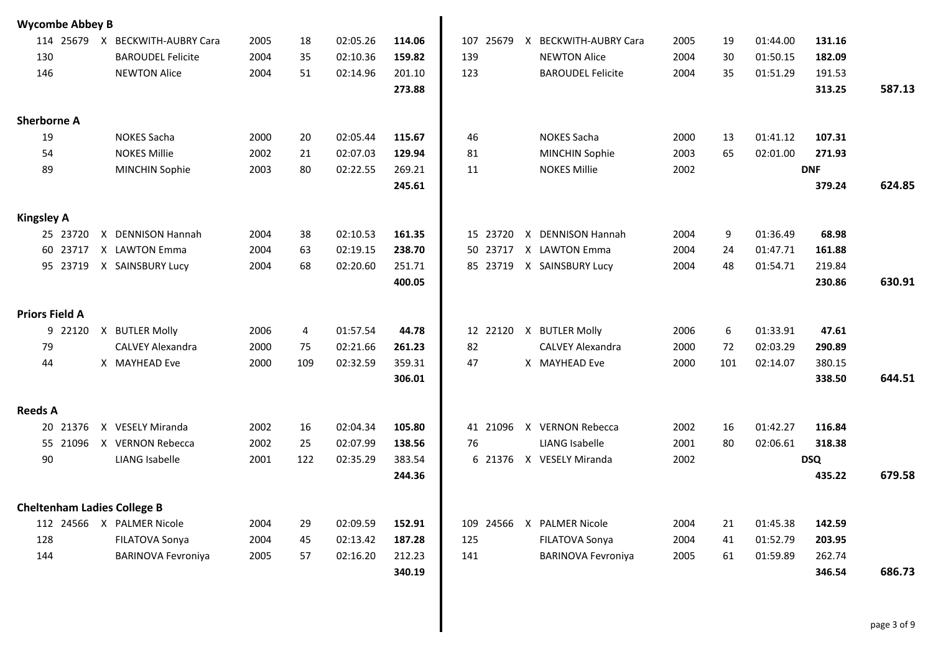| <b>Wycombe Abbey B</b>             |                           |      |     |          |        |              |                             |      |     |          |            |        |
|------------------------------------|---------------------------|------|-----|----------|--------|--------------|-----------------------------|------|-----|----------|------------|--------|
| 114 25679                          | X BECKWITH-AUBRY Cara     | 2005 | 18  | 02:05.26 | 114.06 | 107<br>25679 | X BECKWITH-AUBRY Cara       | 2005 | 19  | 01:44.00 | 131.16     |        |
| 130                                | <b>BAROUDEL Felicite</b>  | 2004 | 35  | 02:10.36 | 159.82 | 139          | <b>NEWTON Alice</b>         | 2004 | 30  | 01:50.15 | 182.09     |        |
| 146                                | <b>NEWTON Alice</b>       | 2004 | 51  | 02:14.96 | 201.10 | 123          | <b>BAROUDEL Felicite</b>    | 2004 | 35  | 01:51.29 | 191.53     |        |
|                                    |                           |      |     |          | 273.88 |              |                             |      |     |          | 313.25     | 587.13 |
| <b>Sherborne A</b>                 |                           |      |     |          |        |              |                             |      |     |          |            |        |
| 19                                 | <b>NOKES Sacha</b>        | 2000 | 20  | 02:05.44 | 115.67 | 46           | <b>NOKES Sacha</b>          | 2000 | 13  | 01:41.12 | 107.31     |        |
| 54                                 | <b>NOKES Millie</b>       | 2002 | 21  | 02:07.03 | 129.94 | 81           | <b>MINCHIN Sophie</b>       | 2003 | 65  | 02:01.00 | 271.93     |        |
| 89                                 | <b>MINCHIN Sophie</b>     | 2003 | 80  | 02:22.55 | 269.21 | 11           | <b>NOKES Millie</b>         | 2002 |     |          | <b>DNF</b> |        |
|                                    |                           |      |     |          | 245.61 |              |                             |      |     |          | 379.24     | 624.85 |
| <b>Kingsley A</b>                  |                           |      |     |          |        |              |                             |      |     |          |            |        |
| 25 23720                           | X DENNISON Hannah         | 2004 | 38  | 02:10.53 | 161.35 | 15 23720     | <b>DENNISON Hannah</b><br>Χ | 2004 | 9   | 01:36.49 | 68.98      |        |
| 60 23717                           | X LAWTON Emma             | 2004 | 63  | 02:19.15 | 238.70 | 50 23717     | X LAWTON Emma               | 2004 | 24  | 01:47.71 | 161.88     |        |
| 95 23719                           | X SAINSBURY Lucy          | 2004 | 68  | 02:20.60 | 251.71 |              | 85 23719 X SAINSBURY Lucy   | 2004 | 48  | 01:54.71 | 219.84     |        |
|                                    |                           |      |     |          | 400.05 |              |                             |      |     |          | 230.86     | 630.91 |
| <b>Priors Field A</b>              |                           |      |     |          |        |              |                             |      |     |          |            |        |
| 9 22120                            | X BUTLER Molly            | 2006 | 4   | 01:57.54 | 44.78  |              | 12 22120 X BUTLER Molly     | 2006 | 6   | 01:33.91 | 47.61      |        |
| 79                                 | <b>CALVEY Alexandra</b>   | 2000 | 75  | 02:21.66 | 261.23 | 82           | <b>CALVEY Alexandra</b>     | 2000 | 72  | 02:03.29 | 290.89     |        |
| 44                                 | X MAYHEAD Eve             | 2000 | 109 | 02:32.59 | 359.31 | 47           | X MAYHEAD Eve               | 2000 | 101 | 02:14.07 | 380.15     |        |
|                                    |                           |      |     |          | 306.01 |              |                             |      |     |          | 338.50     | 644.51 |
| <b>Reeds A</b>                     |                           |      |     |          |        |              |                             |      |     |          |            |        |
| 20 21376                           | X VESELY Miranda          | 2002 | 16  | 02:04.34 | 105.80 |              | 41 21096 X VERNON Rebecca   | 2002 | 16  | 01:42.27 | 116.84     |        |
| 55 21096                           | X VERNON Rebecca          | 2002 | 25  | 02:07.99 | 138.56 | 76           | <b>LIANG Isabelle</b>       | 2001 | 80  | 02:06.61 | 318.38     |        |
| 90                                 | <b>LIANG Isabelle</b>     | 2001 | 122 | 02:35.29 | 383.54 |              | 6 21376 X VESELY Miranda    | 2002 |     |          | <b>DSQ</b> |        |
|                                    |                           |      |     |          | 244.36 |              |                             |      |     |          | 435.22     | 679.58 |
| <b>Cheltenham Ladies College B</b> |                           |      |     |          |        |              |                             |      |     |          |            |        |
|                                    | 112 24566 X PALMER Nicole | 2004 | 29  | 02:09.59 | 152.91 |              | 109 24566 X PALMER Nicole   | 2004 | 21  | 01:45.38 | 142.59     |        |
| 128                                | FILATOVA Sonya            | 2004 | 45  | 02:13.42 | 187.28 | 125          | FILATOVA Sonya              | 2004 | 41  | 01:52.79 | 203.95     |        |
| 144                                | <b>BARINOVA Fevroniya</b> | 2005 | 57  | 02:16.20 | 212.23 | 141          | <b>BARINOVA Fevroniya</b>   | 2005 | 61  | 01:59.89 | 262.74     |        |
|                                    |                           |      |     |          | 340.19 |              |                             |      |     |          | 346.54     | 686.73 |
|                                    |                           |      |     |          |        |              |                             |      |     |          |            |        |
|                                    |                           |      |     |          |        |              |                             |      |     |          |            |        |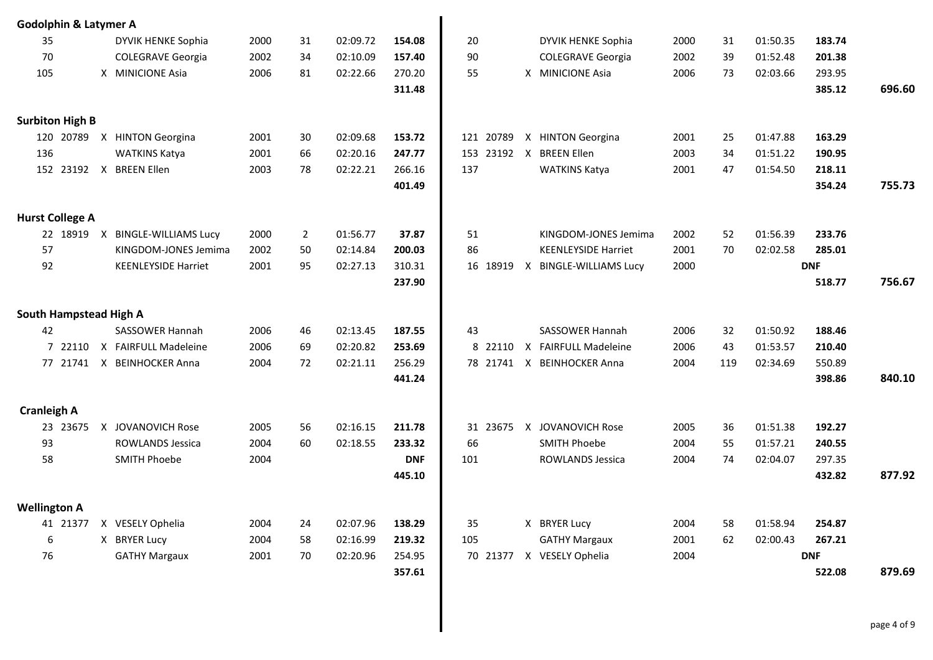| <b>Godolphin &amp; Latymer A</b> |          |                             |      |                |          |            |             |                            |      |     |          |            |        |
|----------------------------------|----------|-----------------------------|------|----------------|----------|------------|-------------|----------------------------|------|-----|----------|------------|--------|
| 35                               |          | DYVIK HENKE Sophia          | 2000 | 31             | 02:09.72 | 154.08     | 20          | DYVIK HENKE Sophia         | 2000 | 31  | 01:50.35 | 183.74     |        |
| 70                               |          | <b>COLEGRAVE Georgia</b>    | 2002 | 34             | 02:10.09 | 157.40     | 90          | <b>COLEGRAVE Georgia</b>   | 2002 | 39  | 01:52.48 | 201.38     |        |
| 105                              |          | X MINICIONE Asia            | 2006 | 81             | 02:22.66 | 270.20     | 55          | X MINICIONE Asia           | 2006 | 73  | 02:03.66 | 293.95     |        |
|                                  |          |                             |      |                |          | 311.48     |             |                            |      |     |          | 385.12     | 696.60 |
|                                  |          |                             |      |                |          |            |             |                            |      |     |          |            |        |
| <b>Surbiton High B</b>           |          |                             |      |                |          |            |             |                            |      |     |          |            |        |
|                                  |          | 120 20789 X HINTON Georgina | 2001 | 30             | 02:09.68 | 153.72     | 121 20789   | X HINTON Georgina          | 2001 | 25  | 01:47.88 | 163.29     |        |
| 136                              |          | <b>WATKINS Katya</b>        | 2001 | 66             | 02:20.16 | 247.77     | 153         | 23192 X BREEN Ellen        | 2003 | 34  | 01:51.22 | 190.95     |        |
|                                  |          | 152 23192 X BREEN Ellen     | 2003 | 78             | 02:22.21 | 266.16     | 137         | <b>WATKINS Katya</b>       | 2001 | 47  | 01:54.50 | 218.11     |        |
|                                  |          |                             |      |                |          | 401.49     |             |                            |      |     |          | 354.24     | 755.73 |
| <b>Hurst College A</b>           |          |                             |      |                |          |            |             |                            |      |     |          |            |        |
|                                  | 22 18919 | X BINGLE-WILLIAMS Lucy      | 2000 | $\overline{2}$ | 01:56.77 | 37.87      | 51          | KINGDOM-JONES Jemima       | 2002 | 52  | 01:56.39 | 233.76     |        |
| 57                               |          | KINGDOM-JONES Jemima        | 2002 | 50             | 02:14.84 | 200.03     | 86          | <b>KEENLEYSIDE Harriet</b> | 2001 | 70  | 02:02.58 | 285.01     |        |
| 92                               |          | <b>KEENLEYSIDE Harriet</b>  | 2001 | 95             | 02:27.13 | 310.31     | 16 18919    | X BINGLE-WILLIAMS Lucy     | 2000 |     |          | <b>DNF</b> |        |
|                                  |          |                             |      |                |          | 237.90     |             |                            |      |     |          | 518.77     | 756.67 |
|                                  |          |                             |      |                |          |            |             |                            |      |     |          |            |        |
| <b>South Hampstead High A</b>    |          |                             |      |                |          |            |             |                            |      |     |          |            |        |
| 42                               |          | <b>SASSOWER Hannah</b>      | 2006 | 46             | 02:13.45 | 187.55     | 43          | SASSOWER Hannah            | 2006 | 32  | 01:50.92 | 188.46     |        |
|                                  | 7 22110  | X FAIRFULL Madeleine        | 2006 | 69             | 02:20.82 | 253.69     | 8<br>22110  | X FAIRFULL Madeleine       | 2006 | 43  | 01:53.57 | 210.40     |        |
|                                  |          | 77 21741 X BEINHOCKER Anna  | 2004 | 72             | 02:21.11 | 256.29     | 78 21741    | X BEINHOCKER Anna          | 2004 | 119 | 02:34.69 | 550.89     |        |
|                                  |          |                             |      |                |          | 441.24     |             |                            |      |     |          | 398.86     | 840.10 |
|                                  |          |                             |      |                |          |            |             |                            |      |     |          |            |        |
| <b>Cranleigh A</b>               |          |                             |      |                |          |            |             |                            |      |     |          |            |        |
|                                  | 23 23675 | X JOVANOVICH Rose           | 2005 | 56             | 02:16.15 | 211.78     | 23675<br>31 | X JOVANOVICH Rose          | 2005 | 36  | 01:51.38 | 192.27     |        |
| 93                               |          | <b>ROWLANDS Jessica</b>     | 2004 | 60             | 02:18.55 | 233.32     | 66          | <b>SMITH Phoebe</b>        | 2004 | 55  | 01:57.21 | 240.55     |        |
| 58                               |          | <b>SMITH Phoebe</b>         | 2004 |                |          | <b>DNF</b> | 101         | <b>ROWLANDS Jessica</b>    | 2004 | 74  | 02:04.07 | 297.35     |        |
|                                  |          |                             |      |                |          | 445.10     |             |                            |      |     |          | 432.82     | 877.92 |
| <b>Wellington A</b>              |          |                             |      |                |          |            |             |                            |      |     |          |            |        |
|                                  |          | 41 21377 X VESELY Ophelia   | 2004 | 24             | 02:07.96 | 138.29     | 35          | X BRYER Lucy               | 2004 | 58  | 01:58.94 | 254.87     |        |
| 6                                |          | X BRYER Lucy                | 2004 | 58             | 02:16.99 | 219.32     | 105         | <b>GATHY Margaux</b>       | 2001 | 62  | 02:00.43 | 267.21     |        |
| 76                               |          | <b>GATHY Margaux</b>        | 2001 | 70             | 02:20.96 | 254.95     |             | 70 21377 X VESELY Ophelia  | 2004 |     |          | <b>DNF</b> |        |
|                                  |          |                             |      |                |          | 357.61     |             |                            |      |     |          | 522.08     | 879.69 |
|                                  |          |                             |      |                |          |            |             |                            |      |     |          |            |        |
|                                  |          |                             |      |                |          |            |             |                            |      |     |          |            |        |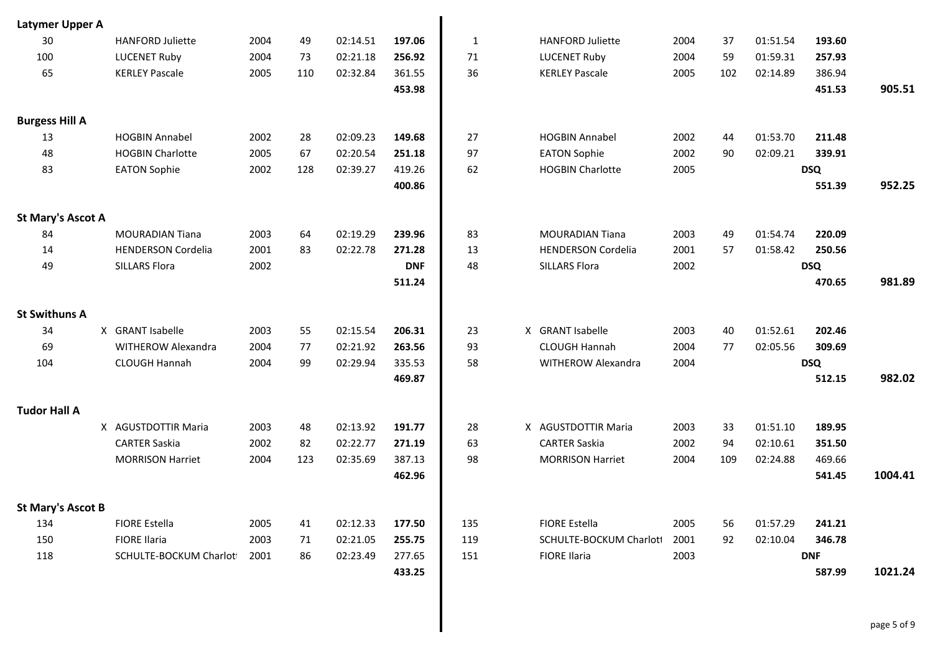| Latymer Upper A          |                              |      |     |          |            |              |                           |      |     |          |            |         |
|--------------------------|------------------------------|------|-----|----------|------------|--------------|---------------------------|------|-----|----------|------------|---------|
| 30                       | <b>HANFORD Juliette</b>      | 2004 | 49  | 02:14.51 | 197.06     | $\mathbf{1}$ | <b>HANFORD Juliette</b>   | 2004 | 37  | 01:51.54 | 193.60     |         |
| 100                      | <b>LUCENET Ruby</b>          | 2004 | 73  | 02:21.18 | 256.92     | 71           | <b>LUCENET Ruby</b>       | 2004 | 59  | 01:59.31 | 257.93     |         |
| 65                       | <b>KERLEY Pascale</b>        | 2005 | 110 | 02:32.84 | 361.55     | 36           | <b>KERLEY Pascale</b>     | 2005 | 102 | 02:14.89 | 386.94     |         |
|                          |                              |      |     |          | 453.98     |              |                           |      |     |          | 451.53     | 905.51  |
| <b>Burgess Hill A</b>    |                              |      |     |          |            |              |                           |      |     |          |            |         |
| 13                       | <b>HOGBIN Annabel</b>        | 2002 | 28  | 02:09.23 | 149.68     | 27           | <b>HOGBIN Annabel</b>     | 2002 | 44  | 01:53.70 | 211.48     |         |
| 48                       | <b>HOGBIN Charlotte</b>      | 2005 | 67  | 02:20.54 | 251.18     | 97           | <b>EATON Sophie</b>       | 2002 | 90  | 02:09.21 | 339.91     |         |
| 83                       | <b>EATON Sophie</b>          | 2002 | 128 | 02:39.27 | 419.26     | 62           | <b>HOGBIN Charlotte</b>   | 2005 |     |          | <b>DSQ</b> |         |
|                          |                              |      |     |          | 400.86     |              |                           |      |     |          | 551.39     | 952.25  |
| <b>St Mary's Ascot A</b> |                              |      |     |          |            |              |                           |      |     |          |            |         |
| 84                       | <b>MOURADIAN Tiana</b>       | 2003 | 64  | 02:19.29 | 239.96     | 83           | <b>MOURADIAN Tiana</b>    | 2003 | 49  | 01:54.74 | 220.09     |         |
| 14                       | <b>HENDERSON Cordelia</b>    | 2001 | 83  | 02:22.78 | 271.28     | 13           | <b>HENDERSON Cordelia</b> | 2001 | 57  | 01:58.42 | 250.56     |         |
| 49                       | <b>SILLARS Flora</b>         | 2002 |     |          | <b>DNF</b> | 48           | SILLARS Flora             | 2002 |     |          | <b>DSQ</b> |         |
|                          |                              |      |     |          | 511.24     |              |                           |      |     |          | 470.65     | 981.89  |
| <b>St Swithuns A</b>     |                              |      |     |          |            |              |                           |      |     |          |            |         |
| 34                       | X GRANT Isabelle             | 2003 | 55  | 02:15.54 | 206.31     | 23           | X GRANT Isabelle          | 2003 | 40  | 01:52.61 | 202.46     |         |
| 69                       | WITHEROW Alexandra           | 2004 | 77  | 02:21.92 | 263.56     | 93           | <b>CLOUGH Hannah</b>      | 2004 | 77  | 02:05.56 | 309.69     |         |
| 104                      | CLOUGH Hannah                | 2004 | 99  | 02:29.94 | 335.53     | 58           | WITHEROW Alexandra        | 2004 |     |          | <b>DSQ</b> |         |
|                          |                              |      |     |          | 469.87     |              |                           |      |     |          | 512.15     | 982.02  |
| <b>Tudor Hall A</b>      |                              |      |     |          |            |              |                           |      |     |          |            |         |
|                          | X AGUSTDOTTIR Maria          | 2003 | 48  | 02:13.92 | 191.77     | 28           | X AGUSTDOTTIR Maria       | 2003 | 33  | 01:51.10 | 189.95     |         |
|                          | <b>CARTER Saskia</b>         | 2002 | 82  | 02:22.77 | 271.19     | 63           | <b>CARTER Saskia</b>      | 2002 | 94  | 02:10.61 | 351.50     |         |
|                          | <b>MORRISON Harriet</b>      | 2004 | 123 | 02:35.69 | 387.13     | 98           | <b>MORRISON Harriet</b>   | 2004 | 109 | 02:24.88 | 469.66     |         |
|                          |                              |      |     |          | 462.96     |              |                           |      |     |          | 541.45     | 1004.41 |
| <b>St Mary's Ascot B</b> |                              |      |     |          |            |              |                           |      |     |          |            |         |
| 134                      | FIORE Estella                | 2005 | 41  | 02:12.33 | 177.50     | 135          | <b>FIORE Estella</b>      | 2005 | 56  | 01:57.29 | 241.21     |         |
| 150                      | <b>FIORE Ilaria</b>          | 2003 | 71  | 02:21.05 | 255.75     | 119          | SCHULTE-BOCKUM Charloti   | 2001 | 92  | 02:10.04 | 346.78     |         |
| 118                      | SCHULTE-BOCKUM Charlot1 2001 |      | 86  | 02:23.49 | 277.65     | 151          | <b>FIORE Ilaria</b>       | 2003 |     |          | <b>DNF</b> |         |
|                          |                              |      |     |          | 433.25     |              |                           |      |     |          | 587.99     | 1021.24 |
|                          |                              |      |     |          |            |              |                           |      |     |          |            |         |
|                          |                              |      |     |          |            |              |                           |      |     |          |            |         |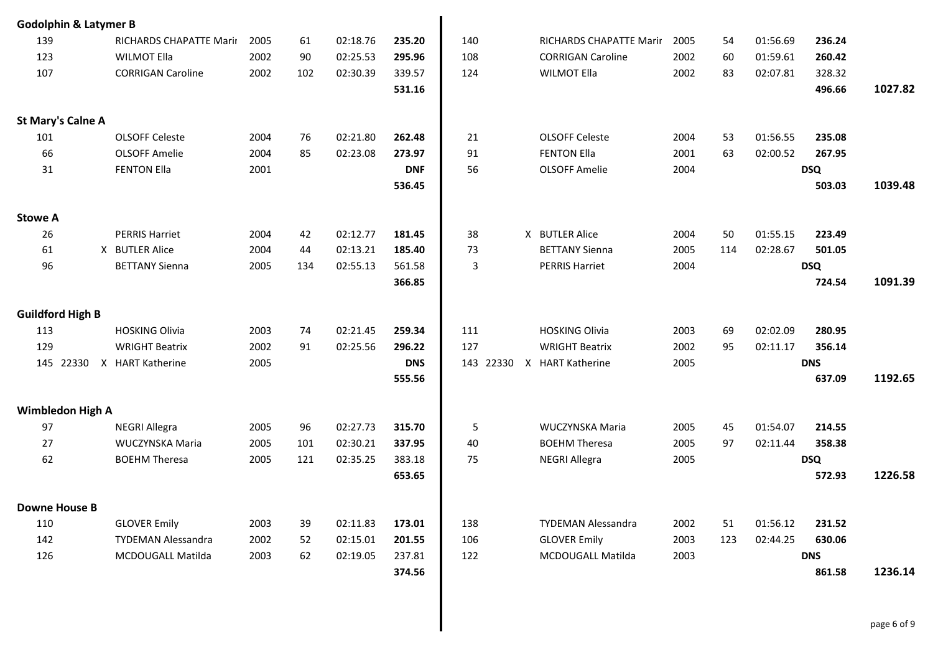| <b>Godolphin &amp; Latymer B</b> |           |                           |      |     |          |            |           |                          |      |     |          |            |         |
|----------------------------------|-----------|---------------------------|------|-----|----------|------------|-----------|--------------------------|------|-----|----------|------------|---------|
| 139                              |           | RICHARDS CHAPATTE Marir   | 2005 | 61  | 02:18.76 | 235.20     | 140       | RICHARDS CHAPATTE Marir  | 2005 | 54  | 01:56.69 | 236.24     |         |
| 123                              |           | <b>WILMOT Ella</b>        | 2002 | 90  | 02:25.53 | 295.96     | 108       | <b>CORRIGAN Caroline</b> | 2002 | 60  | 01:59.61 | 260.42     |         |
| 107                              |           | <b>CORRIGAN Caroline</b>  | 2002 | 102 | 02:30.39 | 339.57     | 124       | <b>WILMOT Ella</b>       | 2002 | 83  | 02:07.81 | 328.32     |         |
|                                  |           |                           |      |     |          | 531.16     |           |                          |      |     |          | 496.66     | 1027.82 |
|                                  |           |                           |      |     |          |            |           |                          |      |     |          |            |         |
| <b>St Mary's Calne A</b>         |           |                           |      |     |          |            |           |                          |      |     |          |            |         |
| 101                              |           | <b>OLSOFF Celeste</b>     | 2004 | 76  | 02:21.80 | 262.48     | 21        | <b>OLSOFF Celeste</b>    | 2004 | 53  | 01:56.55 | 235.08     |         |
| 66                               |           | <b>OLSOFF Amelie</b>      | 2004 | 85  | 02:23.08 | 273.97     | 91        | <b>FENTON Ella</b>       | 2001 | 63  | 02:00.52 | 267.95     |         |
| 31                               |           | <b>FENTON Ella</b>        | 2001 |     |          | <b>DNF</b> | 56        | <b>OLSOFF Amelie</b>     | 2004 |     |          | <b>DSQ</b> |         |
|                                  |           |                           |      |     |          | 536.45     |           |                          |      |     |          | 503.03     | 1039.48 |
|                                  |           |                           |      |     |          |            |           |                          |      |     |          |            |         |
| <b>Stowe A</b>                   |           |                           |      |     |          |            |           |                          |      |     |          |            |         |
| 26                               |           | <b>PERRIS Harriet</b>     | 2004 | 42  | 02:12.77 | 181.45     | 38        | X BUTLER Alice           | 2004 | 50  | 01:55.15 | 223.49     |         |
| 61                               |           | X BUTLER Alice            | 2004 | 44  | 02:13.21 | 185.40     | 73        | <b>BETTANY Sienna</b>    | 2005 | 114 | 02:28.67 | 501.05     |         |
| 96                               |           | <b>BETTANY Sienna</b>     | 2005 | 134 | 02:55.13 | 561.58     | 3         | <b>PERRIS Harriet</b>    | 2004 |     |          | <b>DSQ</b> |         |
|                                  |           |                           |      |     |          | 366.85     |           |                          |      |     |          | 724.54     | 1091.39 |
|                                  |           |                           |      |     |          |            |           |                          |      |     |          |            |         |
| <b>Guildford High B</b>          |           |                           |      |     |          |            |           |                          |      |     |          |            |         |
| 113                              |           | <b>HOSKING Olivia</b>     | 2003 | 74  | 02:21.45 | 259.34     | 111       | <b>HOSKING Olivia</b>    | 2003 | 69  | 02:02.09 | 280.95     |         |
| 129                              |           | <b>WRIGHT Beatrix</b>     | 2002 | 91  | 02:25.56 | 296.22     | 127       | <b>WRIGHT Beatrix</b>    | 2002 | 95  | 02:11.17 | 356.14     |         |
|                                  | 145 22330 | X HART Katherine          | 2005 |     |          | <b>DNS</b> | 143 22330 | X HART Katherine         | 2005 |     |          | <b>DNS</b> |         |
|                                  |           |                           |      |     |          | 555.56     |           |                          |      |     |          | 637.09     | 1192.65 |
|                                  |           |                           |      |     |          |            |           |                          |      |     |          |            |         |
| <b>Wimbledon High A</b>          |           |                           |      |     |          |            |           |                          |      |     |          |            |         |
| 97                               |           | <b>NEGRI Allegra</b>      | 2005 | 96  | 02:27.73 | 315.70     | 5         | WUCZYNSKA Maria          | 2005 | 45  | 01:54.07 | 214.55     |         |
| 27                               |           | WUCZYNSKA Maria           | 2005 | 101 | 02:30.21 | 337.95     | 40        | <b>BOEHM Theresa</b>     | 2005 | 97  | 02:11.44 | 358.38     |         |
| 62                               |           | <b>BOEHM Theresa</b>      | 2005 | 121 | 02:35.25 | 383.18     | 75        | <b>NEGRI Allegra</b>     | 2005 |     |          | <b>DSQ</b> |         |
|                                  |           |                           |      |     |          | 653.65     |           |                          |      |     |          | 572.93     | 1226.58 |
|                                  |           |                           |      |     |          |            |           |                          |      |     |          |            |         |
| <b>Downe House B</b>             |           |                           |      |     |          |            |           |                          |      |     |          |            |         |
| 110                              |           | <b>GLOVER Emily</b>       | 2003 | 39  | 02:11.83 | 173.01     | 138       | TYDEMAN Alessandra       | 2002 | 51  | 01:56.12 | 231.52     |         |
| 142                              |           | <b>TYDEMAN Alessandra</b> | 2002 | 52  | 02:15.01 | 201.55     | 106       | <b>GLOVER Emily</b>      | 2003 | 123 | 02:44.25 | 630.06     |         |
| 126                              |           | MCDOUGALL Matilda         | 2003 | 62  | 02:19.05 | 237.81     | 122       | MCDOUGALL Matilda        | 2003 |     |          | <b>DNS</b> |         |
|                                  |           |                           |      |     |          | 374.56     |           |                          |      |     |          | 861.58     | 1236.14 |
|                                  |           |                           |      |     |          |            |           |                          |      |     |          |            |         |
|                                  |           |                           |      |     |          |            |           |                          |      |     |          |            |         |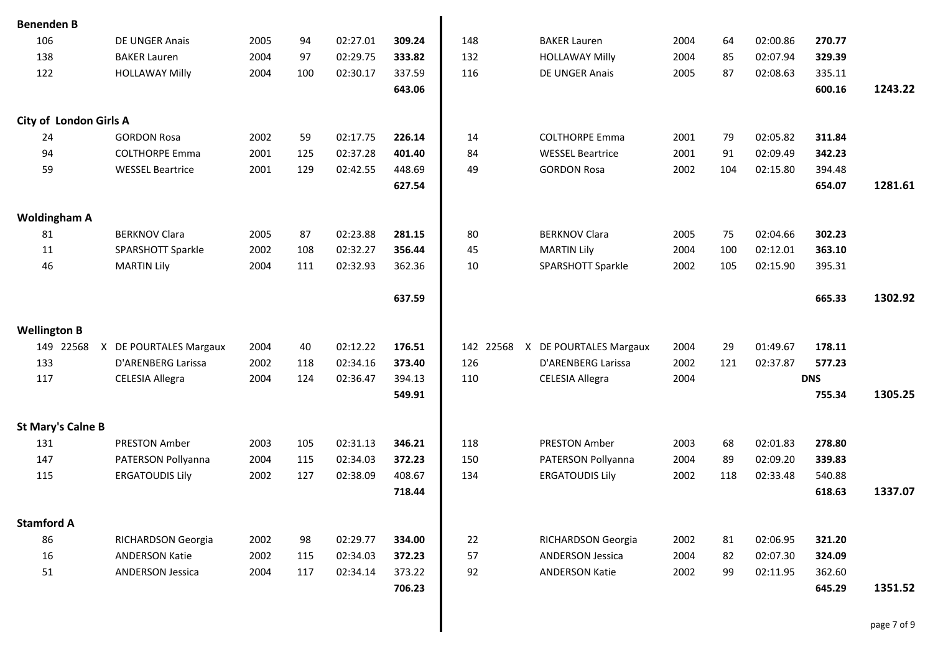| <b>Benenden B</b>   |                          |                          |      |     |                      |        |            |                              |      |     |          |                  |         |
|---------------------|--------------------------|--------------------------|------|-----|----------------------|--------|------------|------------------------------|------|-----|----------|------------------|---------|
| 106                 |                          | DE UNGER Anais           | 2005 | 94  | 02:27.01             | 309.24 | 148        | <b>BAKER Lauren</b>          | 2004 | 64  | 02:00.86 | 270.77           |         |
| 138                 |                          | <b>BAKER Lauren</b>      | 2004 | 97  | 02:29.75             | 333.82 | 132        | <b>HOLLAWAY Milly</b>        | 2004 | 85  | 02:07.94 | 329.39           |         |
| 122                 |                          | <b>HOLLAWAY Milly</b>    | 2004 | 100 | 02:30.17             | 337.59 | 116        | DE UNGER Anais               | 2005 | 87  | 02:08.63 | 335.11           |         |
|                     |                          |                          |      |     |                      | 643.06 |            |                              |      |     |          | 600.16           | 1243.22 |
|                     |                          |                          |      |     |                      |        |            |                              |      |     |          |                  |         |
|                     | City of London Girls A   |                          |      |     |                      |        |            |                              |      |     |          |                  |         |
| 24                  |                          | <b>GORDON Rosa</b>       | 2002 | 59  | 02:17.75             | 226.14 | 14         | <b>COLTHORPE Emma</b>        | 2001 | 79  | 02:05.82 | 311.84           |         |
| 94                  |                          | <b>COLTHORPE Emma</b>    | 2001 | 125 | 02:37.28             | 401.40 | 84         | <b>WESSEL Beartrice</b>      | 2001 | 91  | 02:09.49 | 342.23           |         |
| 59                  |                          | <b>WESSEL Beartrice</b>  | 2001 | 129 | 02:42.55             | 448.69 | 49         | <b>GORDON Rosa</b>           | 2002 | 104 | 02:15.80 | 394.48           |         |
|                     |                          |                          |      |     |                      | 627.54 |            |                              |      |     |          | 654.07           | 1281.61 |
|                     | <b>Woldingham A</b>      |                          |      |     |                      |        |            |                              |      |     |          |                  |         |
| 81                  |                          | <b>BERKNOV Clara</b>     | 2005 | 87  | 02:23.88             | 281.15 | 80         | <b>BERKNOV Clara</b>         | 2005 | 75  | 02:04.66 | 302.23           |         |
| 11                  |                          | <b>SPARSHOTT Sparkle</b> | 2002 | 108 | 02:32.27             | 356.44 | 45         | <b>MARTIN Lily</b>           | 2004 | 100 | 02:12.01 | 363.10           |         |
| 46                  |                          | <b>MARTIN Lily</b>       | 2004 | 111 | 02:32.93             | 362.36 | 10         | SPARSHOTT Sparkle            | 2002 | 105 | 02:15.90 | 395.31           |         |
|                     |                          |                          |      |     |                      |        |            |                              |      |     |          |                  |         |
|                     |                          |                          |      |     |                      | 637.59 |            |                              |      |     |          | 665.33           | 1302.92 |
| <b>Wellington B</b> |                          |                          |      |     |                      |        |            |                              |      |     |          |                  |         |
|                     | 149 22568                | X DE POURTALES Margaux   | 2004 | 40  | 02:12.22             | 176.51 | 142        | 22568 X DE POURTALES Margaux | 2004 | 29  | 01:49.67 | 178.11           |         |
| 133                 |                          | D'ARENBERG Larissa       | 2002 | 118 | 02:34.16             | 373.40 | 126        | D'ARENBERG Larissa           | 2002 | 121 | 02:37.87 | 577.23           |         |
| 117                 |                          | <b>CELESIA Allegra</b>   | 2004 | 124 | 02:36.47             | 394.13 | 110        | <b>CELESIA Allegra</b>       | 2004 |     |          | <b>DNS</b>       |         |
|                     |                          |                          |      |     |                      | 549.91 |            |                              |      |     |          | 755.34           | 1305.25 |
|                     |                          |                          |      |     |                      |        |            |                              |      |     |          |                  |         |
|                     | <b>St Mary's Calne B</b> |                          |      |     |                      |        |            |                              |      |     |          |                  |         |
| 131<br>147          |                          | <b>PRESTON Amber</b>     | 2003 | 105 | 02:31.13             | 346.21 | 118<br>150 | <b>PRESTON Amber</b>         | 2003 | 68  | 02:01.83 | 278.80           |         |
|                     |                          | PATERSON Pollyanna       | 2004 | 115 | 02:34.03<br>02:38.09 | 372.23 |            | PATERSON Pollyanna           | 2004 | 89  | 02:09.20 | 339.83           |         |
| 115                 |                          | <b>ERGATOUDIS Lily</b>   | 2002 | 127 |                      | 408.67 | 134        | <b>ERGATOUDIS Lily</b>       | 2002 | 118 | 02:33.48 | 540.88<br>618.63 | 1337.07 |
|                     |                          |                          |      |     |                      | 718.44 |            |                              |      |     |          |                  |         |
| <b>Stamford A</b>   |                          |                          |      |     |                      |        |            |                              |      |     |          |                  |         |
| 86                  |                          | RICHARDSON Georgia       | 2002 | 98  | 02:29.77             | 334.00 | 22         | RICHARDSON Georgia           | 2002 | 81  | 02:06.95 | 321.20           |         |
| 16                  |                          | <b>ANDERSON Katie</b>    | 2002 | 115 | 02:34.03             | 372.23 | 57         | <b>ANDERSON Jessica</b>      | 2004 | 82  | 02:07.30 | 324.09           |         |
| 51                  |                          | <b>ANDERSON Jessica</b>  | 2004 | 117 | 02:34.14             | 373.22 | 92         | <b>ANDERSON Katie</b>        | 2002 | 99  | 02:11.95 | 362.60           |         |
|                     |                          |                          |      |     |                      | 706.23 |            |                              |      |     |          | 645.29           | 1351.52 |
|                     |                          |                          |      |     |                      |        |            |                              |      |     |          |                  |         |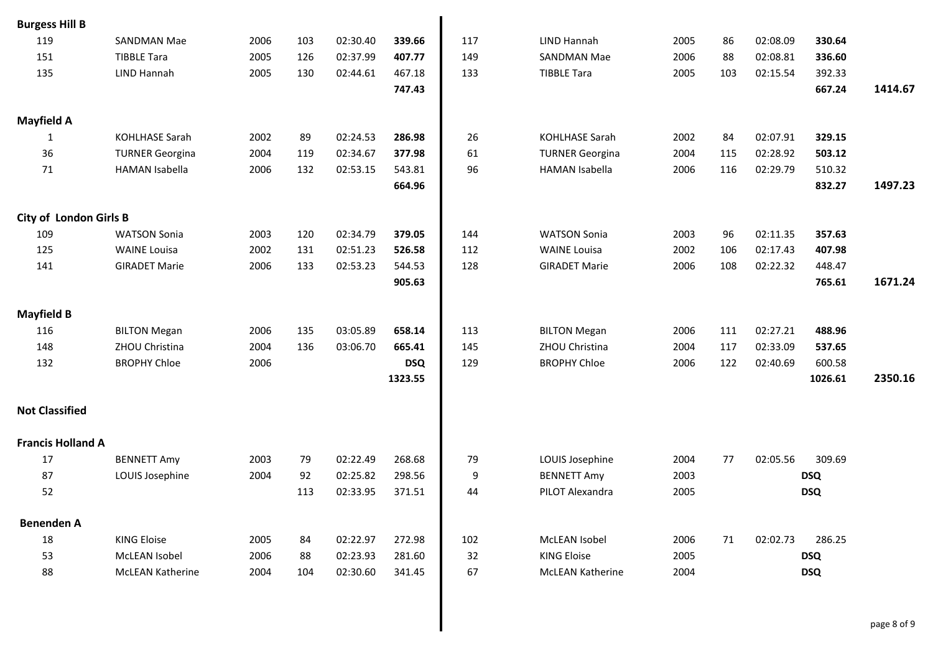| <b>Burgess Hill B</b>         |                         |      |     |          |            |     |                         |      |     |          |            |         |
|-------------------------------|-------------------------|------|-----|----------|------------|-----|-------------------------|------|-----|----------|------------|---------|
| 119                           | <b>SANDMAN Mae</b>      | 2006 | 103 | 02:30.40 | 339.66     | 117 | <b>LIND Hannah</b>      | 2005 | 86  | 02:08.09 | 330.64     |         |
| 151                           | <b>TIBBLE Tara</b>      | 2005 | 126 | 02:37.99 | 407.77     | 149 | <b>SANDMAN Mae</b>      | 2006 | 88  | 02:08.81 | 336.60     |         |
| 135                           | <b>LIND Hannah</b>      | 2005 | 130 | 02:44.61 | 467.18     | 133 | <b>TIBBLE Tara</b>      | 2005 | 103 | 02:15.54 | 392.33     |         |
|                               |                         |      |     |          | 747.43     |     |                         |      |     |          | 667.24     | 1414.67 |
| <b>Mayfield A</b>             |                         |      |     |          |            |     |                         |      |     |          |            |         |
| 1                             | <b>KOHLHASE Sarah</b>   | 2002 | 89  | 02:24.53 | 286.98     | 26  | <b>KOHLHASE Sarah</b>   | 2002 | 84  | 02:07.91 | 329.15     |         |
| 36                            | <b>TURNER Georgina</b>  | 2004 | 119 | 02:34.67 | 377.98     | 61  | <b>TURNER Georgina</b>  | 2004 | 115 | 02:28.92 | 503.12     |         |
| 71                            | <b>HAMAN Isabella</b>   | 2006 | 132 | 02:53.15 | 543.81     | 96  | <b>HAMAN Isabella</b>   | 2006 | 116 | 02:29.79 | 510.32     |         |
|                               |                         |      |     |          | 664.96     |     |                         |      |     |          | 832.27     | 1497.23 |
| <b>City of London Girls B</b> |                         |      |     |          |            |     |                         |      |     |          |            |         |
| 109                           | <b>WATSON Sonia</b>     | 2003 | 120 | 02:34.79 | 379.05     | 144 | <b>WATSON Sonia</b>     | 2003 | 96  | 02:11.35 | 357.63     |         |
| 125                           | <b>WAINE Louisa</b>     | 2002 | 131 | 02:51.23 | 526.58     | 112 | <b>WAINE Louisa</b>     | 2002 | 106 | 02:17.43 | 407.98     |         |
| 141                           | <b>GIRADET Marie</b>    | 2006 | 133 | 02:53.23 | 544.53     | 128 | <b>GIRADET Marie</b>    | 2006 | 108 | 02:22.32 | 448.47     |         |
|                               |                         |      |     |          | 905.63     |     |                         |      |     |          | 765.61     | 1671.24 |
| <b>Mayfield B</b>             |                         |      |     |          |            |     |                         |      |     |          |            |         |
| 116                           | <b>BILTON Megan</b>     | 2006 | 135 | 03:05.89 | 658.14     | 113 | <b>BILTON Megan</b>     | 2006 | 111 | 02:27.21 | 488.96     |         |
| 148                           | ZHOU Christina          | 2004 | 136 | 03:06.70 | 665.41     | 145 | ZHOU Christina          | 2004 | 117 | 02:33.09 | 537.65     |         |
| 132                           | <b>BROPHY Chloe</b>     | 2006 |     |          | <b>DSQ</b> | 129 | <b>BROPHY Chloe</b>     | 2006 | 122 | 02:40.69 | 600.58     |         |
|                               |                         |      |     |          | 1323.55    |     |                         |      |     |          | 1026.61    | 2350.16 |
| <b>Not Classified</b>         |                         |      |     |          |            |     |                         |      |     |          |            |         |
| <b>Francis Holland A</b>      |                         |      |     |          |            |     |                         |      |     |          |            |         |
| 17                            | <b>BENNETT Amy</b>      | 2003 | 79  | 02:22.49 | 268.68     | 79  | LOUIS Josephine         | 2004 | 77  | 02:05.56 | 309.69     |         |
| 87                            | LOUIS Josephine         | 2004 | 92  | 02:25.82 | 298.56     | 9   | <b>BENNETT Amy</b>      | 2003 |     |          | <b>DSQ</b> |         |
| 52                            |                         |      | 113 | 02:33.95 | 371.51     | 44  | PILOT Alexandra         | 2005 |     |          | <b>DSQ</b> |         |
| <b>Benenden A</b>             |                         |      |     |          |            |     |                         |      |     |          |            |         |
| 18                            | <b>KING Eloise</b>      | 2005 | 84  | 02:22.97 | 272.98     | 102 | McLEAN Isobel           | 2006 | 71  | 02:02.73 | 286.25     |         |
| 53                            | McLEAN Isobel           | 2006 | 88  | 02:23.93 | 281.60     | 32  | <b>KING Eloise</b>      | 2005 |     |          | <b>DSQ</b> |         |
| 88                            | <b>McLEAN Katherine</b> | 2004 | 104 | 02:30.60 | 341.45     | 67  | <b>McLEAN Katherine</b> | 2004 |     |          | <b>DSQ</b> |         |
|                               |                         |      |     |          |            |     |                         |      |     |          |            |         |